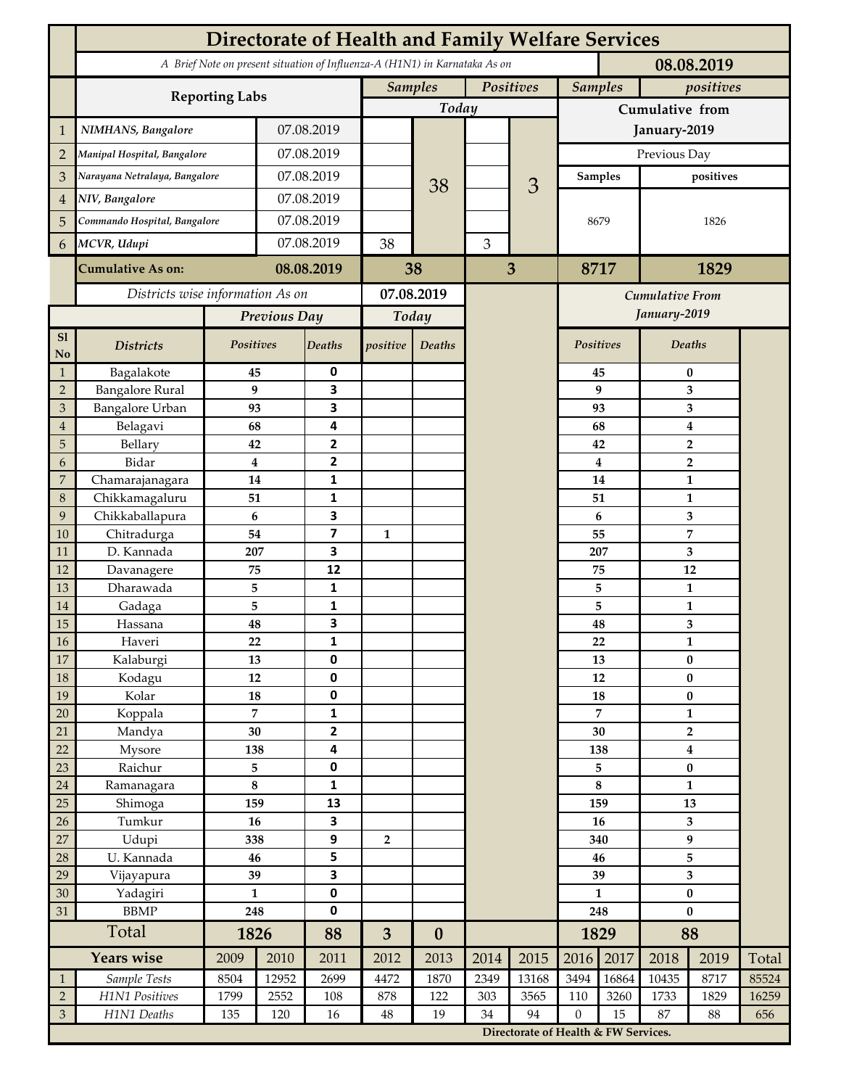|                                  | <b>Directorate of Health and Family Welfare Services</b>                                 |              |                |                              |                |                             |      |                                      |                    |                             |                       |        |       |  |
|----------------------------------|------------------------------------------------------------------------------------------|--------------|----------------|------------------------------|----------------|-----------------------------|------|--------------------------------------|--------------------|-----------------------------|-----------------------|--------|-------|--|
|                                  | A Brief Note on present situation of Influenza-A (H1N1) in Karnataka As on<br>08.08.2019 |              |                |                              |                |                             |      |                                      |                    |                             |                       |        |       |  |
|                                  |                                                                                          |              |                |                              |                | <b>Samples</b><br>Positives |      |                                      |                    | <b>Samples</b><br>positives |                       |        |       |  |
|                                  | <b>Reporting Labs</b>                                                                    |              |                |                              | Today          |                             |      |                                      | Cumulative from    |                             |                       |        |       |  |
| 1                                | NIMHANS, Bangalore                                                                       | 07.08.2019   |                |                              |                |                             |      | January-2019                         |                    |                             |                       |        |       |  |
| $\overline{2}$                   | Manipal Hospital, Bangalore                                                              |              | 07.08.2019     |                              |                |                             |      |                                      | Previous Day       |                             |                       |        |       |  |
| 3                                | Narayana Netralaya, Bangalore                                                            |              |                | 07.08.2019                   |                |                             |      |                                      |                    | <b>Samples</b>              | positives             |        |       |  |
| $\overline{4}$                   | NIV, Bangalore                                                                           |              | 07.08.2019     |                              |                | 38                          |      | 3                                    |                    |                             |                       |        |       |  |
| 5                                | Commando Hospital, Bangalore                                                             |              | 07.08.2019     |                              |                |                             |      |                                      | 8679<br>8717       |                             | 1826                  |        |       |  |
| 6                                | MCVR, Udupi                                                                              |              | 07.08.2019     |                              | 38             |                             | 3    |                                      |                    |                             |                       |        |       |  |
|                                  | <b>Cumulative As on:</b>                                                                 | 08.08.2019   |                |                              | 38             |                             | 3    |                                      |                    |                             | 1829                  |        |       |  |
|                                  | Districts wise information As on                                                         |              |                | 07.08.2019                   |                |                             |      | Cumulative From                      |                    |                             |                       |        |       |  |
|                                  |                                                                                          | Previous Day |                | Today                        |                |                             |      |                                      | January-2019       |                             |                       |        |       |  |
| S1                               |                                                                                          |              |                |                              |                |                             |      |                                      | Positives          |                             |                       |        |       |  |
| No                               | <b>Districts</b>                                                                         | Positives    |                | Deaths                       | positive       | Deaths                      |      |                                      |                    |                             |                       | Deaths |       |  |
| $\mathbf{1}$                     | Bagalakote                                                                               | 45           |                | 0                            |                |                             |      |                                      |                    | 45                          | 0                     |        |       |  |
| $\overline{2}$                   | <b>Bangalore Rural</b>                                                                   |              | 9              | $\overline{\mathbf{3}}$<br>3 |                |                             |      |                                      |                    | 9                           | 3                     |        |       |  |
| $\mathfrak{Z}$<br>$\overline{4}$ | Bangalore Urban<br>Belagavi                                                              | 93<br>68     |                | 4                            |                |                             |      |                                      | 93<br>68           | 3<br>4                      |                       |        |       |  |
| 5                                | Bellary                                                                                  | 42           |                | $\overline{2}$               |                |                             |      |                                      |                    | 42                          | $\overline{2}$        |        |       |  |
| 6                                | Bidar                                                                                    |              | 4              | $\mathbf{2}$                 |                |                             |      |                                      |                    | $\overline{\mathbf{4}}$     | $\overline{2}$        |        |       |  |
| $\boldsymbol{7}$                 | Chamarajanagara                                                                          | 14           |                | 1                            |                |                             |      |                                      | 14<br>$\mathbf{1}$ |                             |                       |        |       |  |
| $\,8\,$                          | Chikkamagaluru                                                                           | 51           |                | 1                            |                |                             |      |                                      |                    | 51                          |                       | 1      |       |  |
| 9                                | Chikkaballapura                                                                          | 6            |                | 3                            |                |                             |      |                                      |                    | 6                           |                       | 3      |       |  |
| 10                               | Chitradurga                                                                              | 54           |                | $\overline{\mathbf{z}}$      | 1              |                             |      |                                      |                    | 55                          |                       | 7      |       |  |
| 11                               | D. Kannada                                                                               | 207          |                | 3                            |                |                             |      |                                      |                    | 207                         | 3                     |        |       |  |
| 12                               | Davanagere                                                                               | 75           |                | 12                           |                |                             |      |                                      |                    | 75                          | 12                    |        |       |  |
| 13                               | Dharawada                                                                                | 5            |                | $\mathbf{1}$                 |                |                             |      |                                      |                    | 5                           | $\mathbf{1}$          |        |       |  |
| 14                               | Gadaga                                                                                   | 5            |                | 1                            |                |                             |      |                                      |                    | 5                           | $\mathbf{1}$          |        |       |  |
| 15                               | Hassana                                                                                  | 48           |                | 3                            |                |                             |      |                                      |                    | 48                          | 3                     |        |       |  |
| $16\,$                           | Haveri                                                                                   | 22           |                | 1                            |                |                             |      |                                      |                    | 22                          | $\mathbf{1}$          |        |       |  |
| $17\,$                           | Kalaburgi                                                                                | 13           |                | $\mathbf 0$                  |                |                             |      |                                      | 13                 |                             | $\bf{0}$              |        |       |  |
| $18\,$                           | Kodagu                                                                                   | $12\,$       |                | $\pmb{0}$                    |                |                             |      |                                      | $12\,$<br>18       |                             | $\bf{0}$<br>$\pmb{0}$ |        |       |  |
| 19                               | Kolar                                                                                    | 18           | $\overline{7}$ | $\pmb{0}$<br>$\mathbf{1}$    |                |                             |      |                                      | 7                  |                             | $\mathbf{1}$          |        |       |  |
| $20\,$<br>21                     | Koppala<br>Mandya                                                                        | 30           |                | $\overline{2}$               |                |                             |      |                                      | 30                 |                             | $\overline{2}$        |        |       |  |
| 22                               | Mysore                                                                                   |              |                | $\overline{\mathbf{4}}$      |                |                             |      |                                      | 138                |                             | $\boldsymbol{4}$      |        |       |  |
| 23                               | Raichur                                                                                  | 138<br>5     |                | $\pmb{0}$                    |                |                             |      |                                      | 5                  |                             | $\pmb{0}$             |        |       |  |
| $24\,$                           | Ramanagara                                                                               | $\bf 8$      |                | $\mathbf 1$                  |                |                             |      |                                      | $\bf 8$            |                             | $\mathbf{1}$          |        |       |  |
| 25                               | Shimoga                                                                                  | 159          |                | 13                           |                |                             |      |                                      | 159                |                             | 13                    |        |       |  |
| 26                               | Tumkur                                                                                   | 16           |                | 3                            |                |                             |      |                                      | 16                 |                             | 3                     |        |       |  |
| $27\,$                           | Udupi                                                                                    | 338          |                | $\boldsymbol{9}$             | $\overline{2}$ |                             |      |                                      | 340                |                             | 9                     |        |       |  |
| 28                               | U. Kannada                                                                               | 46           |                | 5                            |                |                             |      |                                      | 46                 |                             | 5                     |        |       |  |
| 29                               | Vijayapura                                                                               | 39           |                | $\overline{\mathbf{3}}$      |                |                             |      |                                      |                    | 39                          | 3                     |        |       |  |
| $30\,$                           | Yadagiri                                                                                 | $\mathbf{1}$ |                | $\pmb{0}$<br>$\pmb{0}$       |                |                             |      |                                      | $\mathbf{1}$       |                             | $\pmb{0}$             |        |       |  |
| 31                               | ${\rm BBMP}$                                                                             |              | 248            |                              |                |                             |      |                                      | 248                |                             | $\bf{0}$              |        |       |  |
|                                  | Total                                                                                    |              | 1826           |                              | 3              | $\boldsymbol{0}$            |      |                                      | 1829               |                             | 88                    |        |       |  |
|                                  | <b>Years wise</b>                                                                        | 2009         | 2010           | 2011                         | 2012           | 2013                        | 2014 | 2015                                 | 2016               | 2017                        | 2018                  | 2019   | Total |  |
| $\mathbf{1}$                     | Sample Tests                                                                             | 8504         | 12952          | 2699                         | 4472           | 1870                        | 2349 | 13168                                | 3494               | 16864                       | 10435                 | 8717   | 85524 |  |
| $\sqrt{2}$                       | H1N1 Positives                                                                           | 1799         | 2552           | 108                          | 878            | 122                         | 303  | 3565                                 | 110                | 3260                        | 1733                  | 1829   | 16259 |  |
| $\mathfrak{Z}$                   | H1N1 Deaths                                                                              | 135          | 120            | 16                           | 48             | 19                          | 34   | 94                                   | $\boldsymbol{0}$   | 15                          | 87                    | 88     | 656   |  |
|                                  |                                                                                          |              |                |                              |                |                             |      | Directorate of Health & FW Services. |                    |                             |                       |        |       |  |